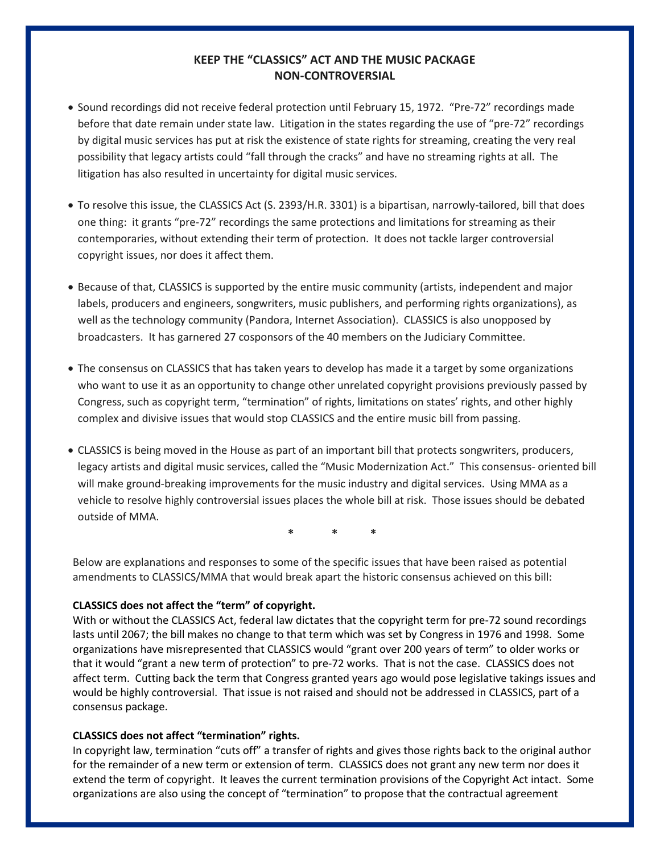# **KEEP THE "CLASSICS" ACT AND THE MUSIC PACKAGE NON-CONTROVERSIAL**

- Sound recordings did not receive federal protection until February 15, 1972. "Pre-72" recordings made before that date remain under state law. Litigation in the states regarding the use of "pre-72" recordings by digital music services has put at risk the existence of state rights for streaming, creating the very real possibility that legacy artists could "fall through the cracks" and have no streaming rights at all. The litigation has also resulted in uncertainty for digital music services.
- To resolve this issue, the CLASSICS Act (S. 2393/H.R. 3301) is a bipartisan, narrowly-tailored, bill that does one thing: it grants "pre-72" recordings the same protections and limitations for streaming as their contemporaries, without extending their term of protection. It does not tackle larger controversial copyright issues, nor does it affect them.
- Because of that, CLASSICS is supported by the entire music community (artists, independent and major labels, producers and engineers, songwriters, music publishers, and performing rights organizations), as well as the technology community (Pandora, Internet Association). CLASSICS is also unopposed by broadcasters. It has garnered 27 cosponsors of the 40 members on the Judiciary Committee.
- The consensus on CLASSICS that has taken years to develop has made it a target by some organizations who want to use it as an opportunity to change other unrelated copyright provisions previously passed by Congress, such as copyright term, "termination" of rights, limitations on states' rights, and other highly complex and divisive issues that would stop CLASSICS and the entire music bill from passing.
- CLASSICS is being moved in the House as part of an important bill that protects songwriters, producers, legacy artists and digital music services, called the "Music Modernization Act." This consensus- oriented bill will make ground-breaking improvements for the music industry and digital services. Using MMA as a vehicle to resolve highly controversial issues places the whole bill at risk. Those issues should be debated outside of MMA.

**\* \* \***

Below are explanations and responses to some of the specific issues that have been raised as potential amendments to CLASSICS/MMA that would break apart the historic consensus achieved on this bill:

## **CLASSICS does not affect the "term" of copyright.**

With or without the CLASSICS Act, federal law dictates that the copyright term for pre-72 sound recordings lasts until 2067; the bill makes no change to that term which was set by Congress in 1976 and 1998. Some organizations have misrepresented that CLASSICS would "grant over 200 years of term" to older works or that it would "grant a new term of protection" to pre-72 works. That is not the case. CLASSICS does not affect term. Cutting back the term that Congress granted years ago would pose legislative takings issues and would be highly controversial. That issue is not raised and should not be addressed in CLASSICS, part of a consensus package.

## **CLASSICS does not affect "termination" rights.**

In copyright law, termination "cuts off" a transfer of rights and gives those rights back to the original author for the remainder of a new term or extension of term. CLASSICS does not grant any new term nor does it extend the term of copyright. It leaves the current termination provisions of the Copyright Act intact. Some organizations are also using the concept of "termination" to propose that the contractual agreement